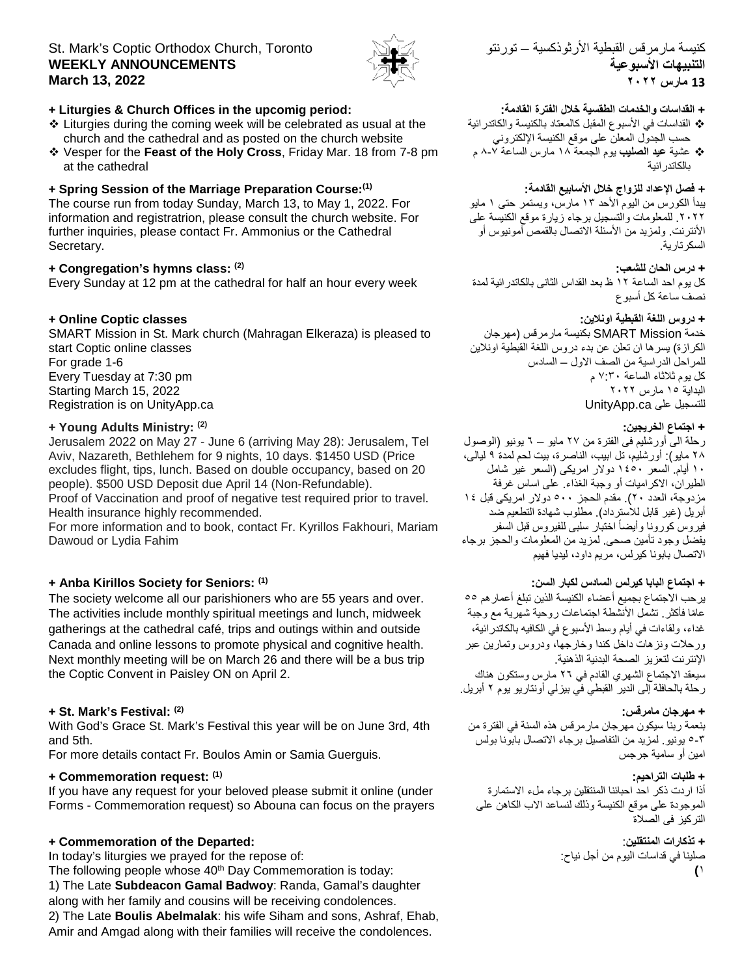# St. Mark's Coptic Orthodox Church, Toronto **WEEKLY ANNOUNCEMENTS March 13, 2022**



### **+ Liturgies & Church Offices in the upcomig period:**

- Liturgies during the coming week will be celebrated as usual at the church and the cathedral and as posted on the church website
- Vesper for the **Feast of the Holy Cross**, Friday Mar. 18 from 7-8 pm at the cathedral

### **+ Spring Session of the Marriage Preparation Course:(1)**

The course run from today Sunday, March 13, to May 1, 2022. For information and registratrion, please consult the church website. For further inquiries, please contact Fr. Ammonius or the Cathedral Secretary.

### **+ Congregation's hymns class: (2)**

Every Sunday at 12 pm at the cathedral for half an hour every week

### **+ Online Coptic classes**

SMART Mission in St. Mark church (Mahragan Elkeraza) is pleased to start Coptic online classes For grade 1-6 Every Tuesday at 7:30 pm Starting March 15, 2022 Registration is on UnityApp.ca

### **+ Young Adults Ministry: (2)**

Jerusalem 2022 on May 27 - June 6 (arriving May 28): Jerusalem, Tel Aviv, Nazareth, Bethlehem for 9 nights, 10 days. \$1450 USD (Price excludes flight, tips, lunch. Based on double occupancy, based on 20 people). \$500 USD Deposit due April 14 (Non-Refundable).

Proof of Vaccination and proof of negative test required prior to travel. Health insurance highly recommended.

For more information and to book, contact Fr. Kyrillos Fakhouri, Mariam Dawoud or Lydia Fahim

### **+ Anba Kirillos Society for Seniors: (1)**

The society welcome all our parishioners who are 55 years and over. The activities include monthly spiritual meetings and lunch, midweek gatherings at the cathedral café, trips and outings within and outside Canada and online lessons to promote physical and cognitive health. Next monthly meeting will be on March 26 and there will be a bus trip the Coptic Convent in Paisley ON on April 2.

### **+ St. Mark's Festival: (2)**

With God's Grace St. Mark's Festival this year will be on June 3rd, 4th and 5th.

For more details contact Fr. Boulos Amin or Samia Guerguis.

### **+ Commemoration request: (1)**

If you have any request for your beloved please submit it online (under Forms - Commemoration request) so Abouna can focus on the prayers

### **+ Commemoration of the Departed:**

In today's liturgies we prayed for the repose of:

The following people whose 40<sup>th</sup> Day Commemoration is today: 1) The Late **Subdeacon Gamal Badwoy**: Randa, Gamal's daughter along with her family and cousins will be receiving condolences. 2) The Late **Boulis Abelmalak**: his wife Siham and sons, Ashraf, Ehab, Amir and Amgad along with their families will receive the condolences.

# كنیسة مارمرقس القبطیة الأرثوذكسیة – تورنتو **التنبیھات الأسبوعیة 13 مارس ۲۰۲۲**

### **+ القداسات والخدمات الطقسیة خلال الفترة القادمة:**

- القداسات في الأسبوع المقبل كالمعتاد بالكنیسة والكاتدرائیة حسب الجدول المعلن على موقع الكنیسة الإلكتروني
- عشیة **عید الصلیب** یوم الجمعة ۱۸ مارس الساعة ۸-۷ م بالكاتدرائیة

### **+ فصل الإعداد للزواج خلال الأسابیع القادمة:**

یبدأ الكورس من الیوم الأحد ۱۳ مارس، ویستمر حتى ۱ مایو .۲۰۲۲ للمعلومات والتسجیل برجاء زیارة موقع الكنیسة على الأنترنت. ولمزید من الأسئلة الاتصال بالقمص آمونیوس أو السكرتاریة.

#### **+ درس الحان للشعب:**

كل یوم احد الساعة ۱۲ ظ بعد القداس الثانى بالكاتدرائیة لمدة نصف ساعة كل أسبوع

## **+ دروس اللغة القبطیة اونلاین:**

خدمة Mission SMART بكنیسة مارمرقس (مھرجان الكرازة) یسرھا ان تعلن عن بدء دروس اللغة القبطیة اونلاین للمراحل الدراسیة من الصف الاول – السادس كل یوم ثلاثاء الساعة ۷:۳۰ م البدایة ۱٥ مارس ۲۰۲۲ للتسجیل علی UnityApp.ca

### **+ اجتماع الخریجین:**

رحلة الى أورشلیم فى الفترة من ۲۷ مایو – ٦ یونیو (الوصول ۲۸ مایو): أورشلیم، تل ابیب، الناصرة، بیت لحم لمدة ۹ لیالى، ۱۰ أیام. السعر ۱٤٥۰ دولار امریكى (السعر غیر شامل الطیران، الاكرامیات أو وجبة الغذاء. على اساس غرفة مزدوجة، العدد ۲۰). مقدم الحجز ٥۰۰ دولار امریكى قبل ۱٤ أبریل (غیر قابل للاسترداد). مطلوب شھادة التطعیم ضد فيروس كورونا وأيضاً اختبار سلبى للفيروس قبل السفر یفضل وجود تأمین صحى. لمزید من المعلومات والحجز برجاء الاتصال بابونا كیرلس، مریم داود، لیدیا فھیم

### **+ اجتماع البابا كیرلس السادس لكبار السن:**

یرحب الاجتماع بجمیع أعضاء الكنیسة الذین تبلغ أعمارھم ٥٥ ًعاما فأكثر. تشمل الأنشطة اجتماعات روحیة شھریة مع وجبة غداء، ولقاءات في أیام وسط الأسبوع في الكافیھ بالكاتدرائیة، ورحلات ونزھات داخل كندا وخارجھا، ودروس وتمارین عبر الإنترنت لتعزیز الصحة البدنیة الذھنیة. سیعقد الاجتماع الشھري القادم في ۲٦ مارس وستكون ھناك رحلة بالحافلة إلى الدیر القبطي في بیزلي أونتاریو یوم ۲ أبریل.

### **+ مھرجان مامرقس:**

بنعمة ربنا سیكون مھرجان مارمرقس ھذه السنة في الفترة من ٥-۳ یونیو. لمزید من التفاصیل برجاء الاتصال بابونا بولس امین أو سامیة جرجس

#### **+ طلبات التراحیم:**

أذا اردت ذكر احد احبائنا المنتقلین برجاء ملء الاستمارة الموجودة على موقع الكنیسة وذلك لنساعد الاب الكاھن على التركیز فى الصلاة

# **+ تذكارات المنتقلین**: صلینا في قداسات الیوم من أجل نیاح:

**(**۱